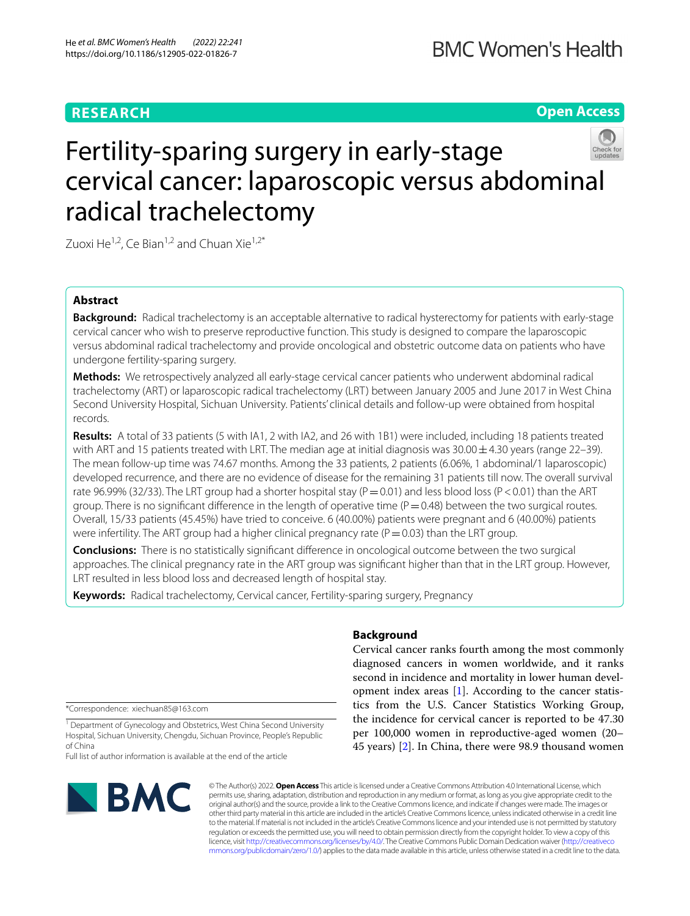# **RESEARCH**

**Open Access**

# Fertility-sparing surgery in early-stage cervical cancer: laparoscopic versus abdominal radical trachelectomy

Zuoxi He<sup>1,2</sup>, Ce Bian<sup>1,2</sup> and Chuan Xie<sup>1,2\*</sup>

# **Abstract**

**Background:** Radical trachelectomy is an acceptable alternative to radical hysterectomy for patients with early-stage cervical cancer who wish to preserve reproductive function. This study is designed to compare the laparoscopic versus abdominal radical trachelectomy and provide oncological and obstetric outcome data on patients who have undergone fertility-sparing surgery.

**Methods:** We retrospectively analyzed all early-stage cervical cancer patients who underwent abdominal radical trachelectomy (ART) or laparoscopic radical trachelectomy (LRT) between January 2005 and June 2017 in West China Second University Hospital, Sichuan University. Patients' clinical details and follow-up were obtained from hospital records.

**Results:** A total of 33 patients (5 with IA1, 2 with IA2, and 26 with 1B1) were included, including 18 patients treated with ART and 15 patients treated with LRT. The median age at initial diagnosis was 30.00  $\pm$  4.30 years (range 22–39). The mean follow-up time was 74.67 months. Among the 33 patients, 2 patients (6.06%, 1 abdominal/1 laparoscopic) developed recurrence, and there are no evidence of disease for the remaining 31 patients till now. The overall survival rate 96.99% (32/33). The LRT group had a shorter hospital stay (P=0.01) and less blood loss (P<0.01) than the ART group. There is no significant difference in the length of operative time ( $P=0.48$ ) between the two surgical routes. Overall, 15/33 patients (45.45%) have tried to conceive. 6 (40.00%) patients were pregnant and 6 (40.00%) patients were infertility. The ART group had a higher clinical pregnancy rate ( $P=0.03$ ) than the LRT group.

**Conclusions:** There is no statistically signifcant diference in oncological outcome between the two surgical approaches. The clinical pregnancy rate in the ART group was signifcant higher than that in the LRT group. However, LRT resulted in less blood loss and decreased length of hospital stay.

**Keywords:** Radical trachelectomy, Cervical cancer, Fertility-sparing surgery, Pregnancy

\*Correspondence: xiechuan85@163.com

<sup>1</sup> Department of Gynecology and Obstetrics, West China Second University Hospital, Sichuan University, Chengdu, Sichuan Province, People's Republic of China

Full list of author information is available at the end of the article



© The Author(s) 2022. **Open Access** This article is licensed under a Creative Commons Attribution 4.0 International License, which permits use, sharing, adaptation, distribution and reproduction in any medium or format, as long as you give appropriate credit to the original author(s) and the source, provide a link to the Creative Commons licence, and indicate if changes were made. The images or other third party material in this article are included in the article's Creative Commons licence, unless indicated otherwise in a credit line to the material. If material is not included in the article's Creative Commons licence and your intended use is not permitted by statutory regulation or exceeds the permitted use, you will need to obtain permission directly from the copyright holder. To view a copy of this licence, visit [http://creativecommons.org/licenses/by/4.0/.](http://creativecommons.org/licenses/by/4.0/) The Creative Commons Public Domain Dedication waiver ([http://creativeco](http://creativecommons.org/publicdomain/zero/1.0/) [mmons.org/publicdomain/zero/1.0/](http://creativecommons.org/publicdomain/zero/1.0/)) applies to the data made available in this article, unless otherwise stated in a credit line to the data.

# **Background**

Cervical cancer ranks fourth among the most commonly diagnosed cancers in women worldwide, and it ranks second in incidence and mortality in lower human development index areas  $[1]$  $[1]$ . According to the cancer statistics from the U.S. Cancer Statistics Working Group, the incidence for cervical cancer is reported to be 47.30 per 100,000 women in reproductive-aged women (20– 45 years) [\[2](#page-6-1)]. In China, there were 98.9 thousand women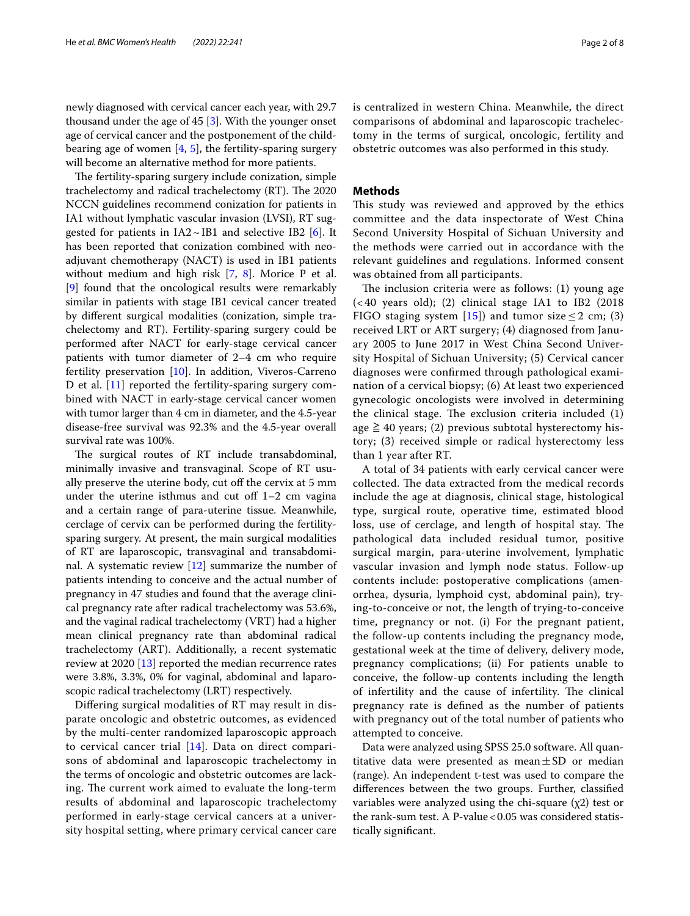newly diagnosed with cervical cancer each year, with 29.7 thousand under the age of 45 [\[3](#page-6-2)]. With the younger onset age of cervical cancer and the postponement of the childbearing age of women  $[4, 5]$  $[4, 5]$  $[4, 5]$  $[4, 5]$ , the fertility-sparing surgery will become an alternative method for more patients.

The fertility-sparing surgery include conization, simple trachelectomy and radical trachelectomy  $(RT)$ . The 2020 NCCN guidelines recommend conization for patients in IA1 without lymphatic vascular invasion (LVSI), RT suggested for patients in  $IA2 \sim IBI$  and selective IB2 [\[6](#page-6-5)]. It has been reported that conization combined with neoadjuvant chemotherapy (NACT) is used in IB1 patients without medium and high risk [[7,](#page-6-6) [8\]](#page-6-7). Morice P et al. [[9\]](#page-6-8) found that the oncological results were remarkably similar in patients with stage IB1 cevical cancer treated by diferent surgical modalities (conization, simple trachelectomy and RT). Fertility-sparing surgery could be performed after NACT for early-stage cervical cancer patients with tumor diameter of 2–4 cm who require fertility preservation [[10](#page-6-9)]. In addition, Viveros-Carreno D et al. [[11\]](#page-6-10) reported the fertility-sparing surgery combined with NACT in early-stage cervical cancer women with tumor larger than 4 cm in diameter, and the 4.5-year disease-free survival was 92.3% and the 4.5-year overall survival rate was 100%.

The surgical routes of RT include transabdominal, minimally invasive and transvaginal. Scope of RT usually preserve the uterine body, cut off the cervix at 5 mm under the uterine isthmus and cut off  $1-2$  cm vagina and a certain range of para-uterine tissue. Meanwhile, cerclage of cervix can be performed during the fertilitysparing surgery. At present, the main surgical modalities of RT are laparoscopic, transvaginal and transabdominal. A systematic review [\[12\]](#page-6-11) summarize the number of patients intending to conceive and the actual number of pregnancy in 47 studies and found that the average clinical pregnancy rate after radical trachelectomy was 53.6%, and the vaginal radical trachelectomy (VRT) had a higher mean clinical pregnancy rate than abdominal radical trachelectomy (ART). Additionally, a recent systematic review at 2020 [[13\]](#page-6-12) reported the median recurrence rates were 3.8%, 3.3%, 0% for vaginal, abdominal and laparoscopic radical trachelectomy (LRT) respectively.

Difering surgical modalities of RT may result in disparate oncologic and obstetric outcomes, as evidenced by the multi-center randomized laparoscopic approach to cervical cancer trial  $[14]$  $[14]$ . Data on direct comparisons of abdominal and laparoscopic trachelectomy in the terms of oncologic and obstetric outcomes are lacking. The current work aimed to evaluate the long-term results of abdominal and laparoscopic trachelectomy performed in early-stage cervical cancers at a university hospital setting, where primary cervical cancer care is centralized in western China. Meanwhile, the direct comparisons of abdominal and laparoscopic trachelectomy in the terms of surgical, oncologic, fertility and obstetric outcomes was also performed in this study.

# **Methods**

This study was reviewed and approved by the ethics committee and the data inspectorate of West China Second University Hospital of Sichuan University and the methods were carried out in accordance with the relevant guidelines and regulations. Informed consent was obtained from all participants.

The inclusion criteria were as follows:  $(1)$  young age (< 40 years old); (2) clinical stage IA1 to IB2 (2018 FIGO staging system [[15\]](#page-6-14)) and tumor size  $\leq$  2 cm; (3) received LRT or ART surgery; (4) diagnosed from January 2005 to June 2017 in West China Second University Hospital of Sichuan University; (5) Cervical cancer diagnoses were confrmed through pathological examination of a cervical biopsy; (6) At least two experienced gynecologic oncologists were involved in determining the clinical stage. The exclusion criteria included  $(1)$ age  $\geq$  40 years; (2) previous subtotal hysterectomy history; (3) received simple or radical hysterectomy less than 1 year after RT.

A total of 34 patients with early cervical cancer were collected. The data extracted from the medical records include the age at diagnosis, clinical stage, histological type, surgical route, operative time, estimated blood loss, use of cerclage, and length of hospital stay. The pathological data included residual tumor, positive surgical margin, para-uterine involvement, lymphatic vascular invasion and lymph node status. Follow-up contents include: postoperative complications (amenorrhea, dysuria, lymphoid cyst, abdominal pain), trying-to-conceive or not, the length of trying-to-conceive time, pregnancy or not. (i) For the pregnant patient, the follow-up contents including the pregnancy mode, gestational week at the time of delivery, delivery mode, pregnancy complications; (ii) For patients unable to conceive, the follow-up contents including the length of infertility and the cause of infertility. The clinical pregnancy rate is defned as the number of patients with pregnancy out of the total number of patients who attempted to conceive.

Data were analyzed using SPSS 25.0 software. All quantitative data were presented as mean $\pm$ SD or median (range). An independent t-test was used to compare the diferences between the two groups. Further, classifed variables were analyzed using the chi-square  $(\chi 2)$  test or the rank-sum test. A P-value  $< 0.05$  was considered statistically signifcant.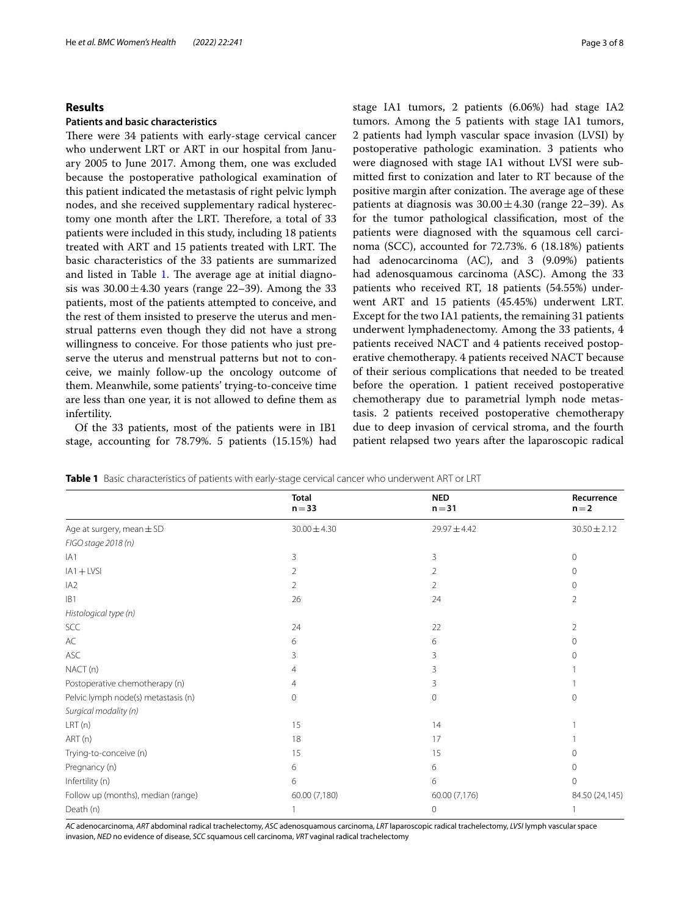# **Results**

# **Patients and basic characteristics**

There were 34 patients with early-stage cervical cancer who underwent LRT or ART in our hospital from January 2005 to June 2017. Among them, one was excluded because the postoperative pathological examination of this patient indicated the metastasis of right pelvic lymph nodes, and she received supplementary radical hysterectomy one month after the LRT. Therefore, a total of 33 patients were included in this study, including 18 patients treated with ART and 15 patients treated with LRT. The basic characteristics of the 33 patients are summarized and listed in Table [1.](#page-2-0) The average age at initial diagnosis was  $30.00 \pm 4.30$  years (range 22–39). Among the 33 patients, most of the patients attempted to conceive, and the rest of them insisted to preserve the uterus and menstrual patterns even though they did not have a strong willingness to conceive. For those patients who just preserve the uterus and menstrual patterns but not to conceive, we mainly follow-up the oncology outcome of them. Meanwhile, some patients' trying-to-conceive time are less than one year, it is not allowed to defne them as infertility.

Of the 33 patients, most of the patients were in IB1 stage, accounting for 78.79%. 5 patients (15.15%) had stage IA1 tumors, 2 patients (6.06%) had stage IA2 tumors. Among the 5 patients with stage IA1 tumors, 2 patients had lymph vascular space invasion (LVSI) by postoperative pathologic examination. 3 patients who were diagnosed with stage IA1 without LVSI were submitted frst to conization and later to RT because of the positive margin after conization. The average age of these patients at diagnosis was  $30.00 \pm 4.30$  (range 22–39). As for the tumor pathological classifcation, most of the patients were diagnosed with the squamous cell carcinoma (SCC), accounted for 72.73%. 6 (18.18%) patients had adenocarcinoma (AC), and 3 (9.09%) patients had adenosquamous carcinoma (ASC). Among the 33 patients who received RT, 18 patients (54.55%) underwent ART and 15 patients (45.45%) underwent LRT. Except for the two IA1 patients, the remaining 31 patients underwent lymphadenectomy. Among the 33 patients, 4 patients received NACT and 4 patients received postoperative chemotherapy. 4 patients received NACT because of their serious complications that needed to be treated before the operation. 1 patient received postoperative chemotherapy due to parametrial lymph node metastasis. 2 patients received postoperative chemotherapy due to deep invasion of cervical stroma, and the fourth patient relapsed two years after the laparoscopic radical

<span id="page-2-0"></span>

|  | Table 1 Basic characteristics of patients with early-stage cervical cancer who underwent ART or LRT |  |  |  |  |  |  |  |
|--|-----------------------------------------------------------------------------------------------------|--|--|--|--|--|--|--|
|--|-----------------------------------------------------------------------------------------------------|--|--|--|--|--|--|--|

|                                     | <b>Total</b><br>$n = 33$ | <b>NED</b><br>$n = 31$ | Recurrence<br>$n = 2$ |
|-------------------------------------|--------------------------|------------------------|-----------------------|
|                                     |                          |                        |                       |
| Age at surgery, mean $\pm$ SD       | $30.00 \pm 4.30$         | $29.97 \pm 4.42$       | $30.50 \pm 2.12$      |
| FIGO stage 2018 (n)                 |                          |                        |                       |
| IA1                                 | 3                        | 3                      | 0                     |
| $IA1 + LVS$                         | 2                        | 2                      | $\mathbf{0}$          |
| IA2                                 | 2                        | 2                      | 0                     |
| IB1                                 | 26                       | 24                     | $\overline{2}$        |
| Histological type (n)               |                          |                        |                       |
| SCC                                 | 24                       | 22                     | 2                     |
| AC                                  | 6                        | 6                      | $\Omega$              |
| <b>ASC</b>                          | 3                        | 3                      | 0                     |
| NACT(n)                             | $\overline{4}$           | 3                      |                       |
| Postoperative chemotherapy (n)      | 4                        | 3                      |                       |
| Pelvic lymph node(s) metastasis (n) | $\mathbf 0$              | $\mathbf{0}$           | 0                     |
| Surgical modality (n)               |                          |                        |                       |
| LRT(n)                              | 15                       | 14                     |                       |
| ART (n)                             | 18                       | 17                     |                       |
| Trying-to-conceive (n)              | 15                       | 15                     |                       |
| Pregnancy (n)                       | 6                        | 6                      | 0                     |
| Infertility (n)                     | 6                        | 6                      | $\Omega$              |
| Follow up (months), median (range)  | 60.00 (7,180)            | 60.00 (7,176)          | 84.50 (24,145)        |
| Death (n)                           |                          | $\mathbf{0}$           |                       |

*AC* adenocarcinoma, *ART* abdominal radical trachelectomy, *ASC* adenosquamous carcinoma, *LRT* laparoscopic radical trachelectomy, *LVSI* lymph vascular space invasion, *NED* no evidence of disease, *SCC* squamous cell carcinoma, *VRT* vaginal radical trachelectomy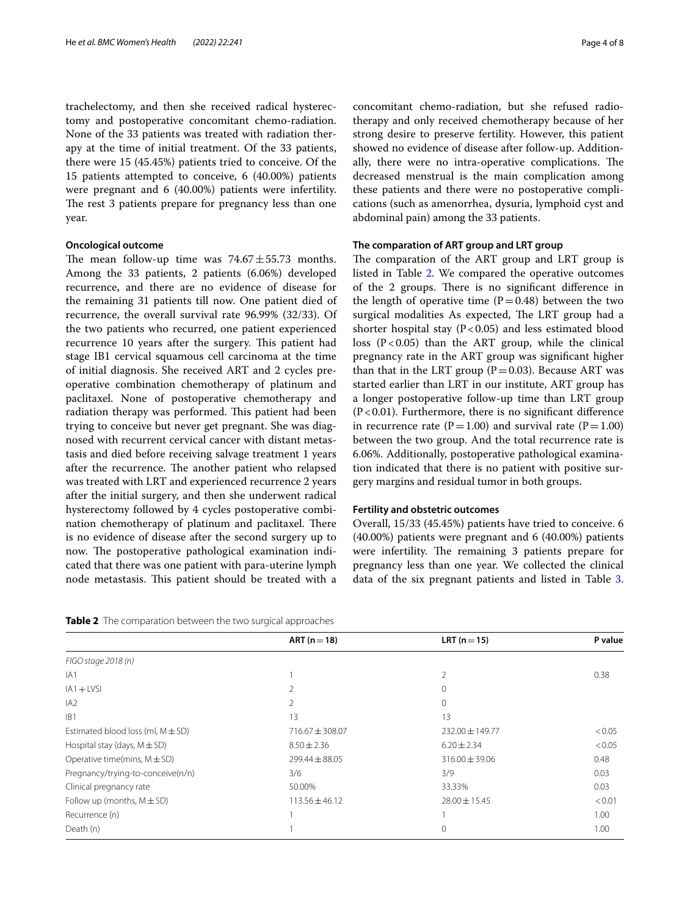trachelectomy, and then she received radical hysterectomy and postoperative concomitant chemo-radiation. None of the 33 patients was treated with radiation therapy at the time of initial treatment. Of the 33 patients, there were 15 (45.45%) patients tried to conceive. Of the 15 patients attempted to conceive, 6 (40.00%) patients were pregnant and 6 (40.00%) patients were infertility. The rest 3 patients prepare for pregnancy less than one year.

# **Oncological outcome**

The mean follow-up time was  $74.67 \pm 55.73$  months. Among the 33 patients, 2 patients (6.06%) developed recurrence, and there are no evidence of disease for the remaining 31 patients till now. One patient died of recurrence, the overall survival rate 96.99% (32/33). Of the two patients who recurred, one patient experienced recurrence 10 years after the surgery. This patient had stage IB1 cervical squamous cell carcinoma at the time of initial diagnosis. She received ART and 2 cycles preoperative combination chemotherapy of platinum and paclitaxel. None of postoperative chemotherapy and radiation therapy was performed. This patient had been trying to conceive but never get pregnant. She was diagnosed with recurrent cervical cancer with distant metastasis and died before receiving salvage treatment 1 years after the recurrence. The another patient who relapsed was treated with LRT and experienced recurrence 2 years after the initial surgery, and then she underwent radical hysterectomy followed by 4 cycles postoperative combination chemotherapy of platinum and paclitaxel. There is no evidence of disease after the second surgery up to now. The postoperative pathological examination indicated that there was one patient with para-uterine lymph node metastasis. This patient should be treated with a

<span id="page-3-0"></span>

concomitant chemo-radiation, but she refused radiotherapy and only received chemotherapy because of her strong desire to preserve fertility. However, this patient showed no evidence of disease after follow-up. Additionally, there were no intra-operative complications. The decreased menstrual is the main complication among these patients and there were no postoperative complications (such as amenorrhea, dysuria, lymphoid cyst and abdominal pain) among the 33 patients.

## **The comparation of ART group and LRT group**

The comparation of the ART group and LRT group is listed in Table [2.](#page-3-0) We compared the operative outcomes of the 2 groups. There is no significant difference in the length of operative time  $(P=0.48)$  between the two surgical modalities As expected, The LRT group had a shorter hospital stay ( $P < 0.05$ ) and less estimated blood loss  $(P<0.05)$  than the ART group, while the clinical pregnancy rate in the ART group was signifcant higher than that in the LRT group ( $P=0.03$ ). Because ART was started earlier than LRT in our institute, ART group has a longer postoperative follow-up time than LRT group  $(P<0.01)$ . Furthermore, there is no significant difference in recurrence rate ( $P=1.00$ ) and survival rate ( $P=1.00$ ) between the two group. And the total recurrence rate is 6.06%. Additionally, postoperative pathological examination indicated that there is no patient with positive surgery margins and residual tumor in both groups.

## **Fertility and obstetric outcomes**

Overall, 15/33 (45.45%) patients have tried to conceive. 6 (40.00%) patients were pregnant and 6 (40.00%) patients were infertility. The remaining 3 patients prepare for pregnancy less than one year. We collected the clinical data of the six pregnant patients and listed in Table [3](#page-4-0).

|                                        | ART ( $n = 18$ )    | LRT $(n=15)$        | P value |
|----------------------------------------|---------------------|---------------------|---------|
| FIGO stage 2018 (n)                    |                     |                     |         |
| IA1                                    |                     | 2                   | 0.38    |
| $IA1 + LVSI$                           | 2                   | $\mathbf 0$         |         |
| IA2                                    | 2                   | $\Omega$            |         |
| IB1                                    | 13                  | 13                  |         |
| Estimated blood loss (ml, $M \pm SD$ ) | $716.67 \pm 308.07$ | $232.00 \pm 149.77$ | < 0.05  |
| Hospital stay (days, $M \pm SD$ )      | $8.50 \pm 2.36$     | $6.20 \pm 2.34$     | < 0.05  |
| Operative time(mins, $M \pm SD$ )      | $299.44 \pm 88.05$  | $316.00 \pm 39.06$  | 0.48    |
| Pregnancy/trying-to-conceive(n/n)      | 3/6                 | 3/9                 | 0.03    |
| Clinical pregnancy rate                | 50.00%              | 33.33%              | 0.03    |
| Follow up (months, $M \pm SD$ )        | $113.56 \pm 46.12$  | $28.00 \pm 15.45$   | < 0.01  |
| Recurrence (n)                         |                     |                     | 1.00    |
| Death (n)                              |                     | 0                   | 1.00    |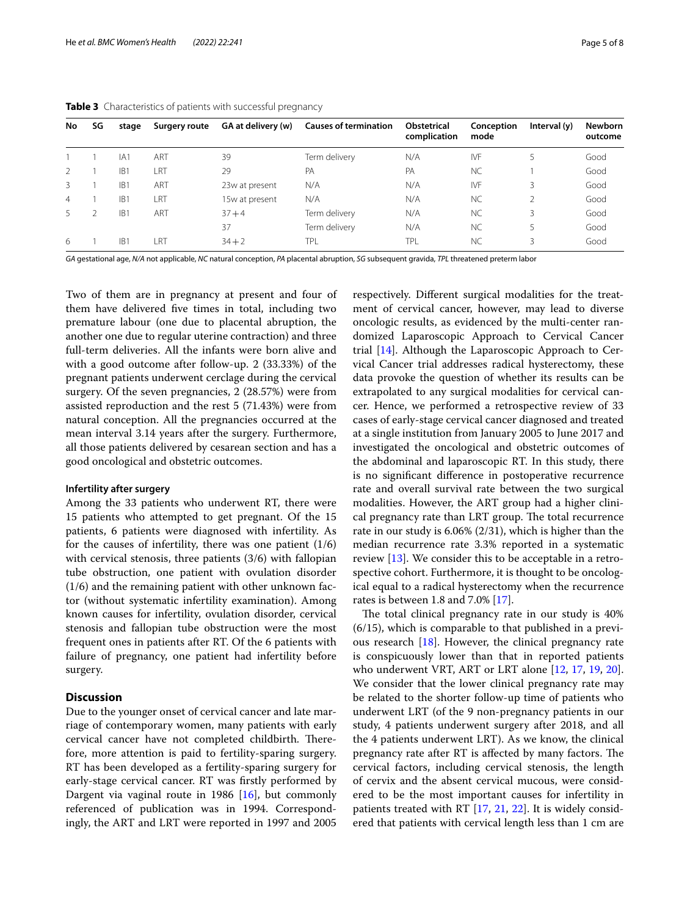| No            | SG | stage           | Surgery route | GA at delivery (w) | <b>Causes of termination</b> | Obstetrical<br>complication | Conception<br>mode | Interval (y) | <b>Newborn</b><br>outcome |
|---------------|----|-----------------|---------------|--------------------|------------------------------|-----------------------------|--------------------|--------------|---------------------------|
|               |    | IA1             | ART           | 39                 | Term delivery                | N/A                         | IVF                | 5            | Good                      |
| $\mathcal{D}$ |    | IB <sub>1</sub> | LRT           | 29                 | PA                           | PA                          | NC.                |              | Good                      |
| 3             |    | IB <sub>1</sub> | ART           | 23w at present     | N/A                          | N/A                         | IVF                | 3            | Good                      |
| 4             |    | IB <sub>1</sub> | LRT           | 15w at present     | N/A                          | N/A                         | NC.                |              | Good                      |
|               |    | IB <sub>1</sub> | ART           | $37 + 4$           | Term delivery                | N/A                         | NC.                | 3            | Good                      |
|               |    |                 |               | 37                 | Term delivery                | N/A                         | <b>NC</b>          |              | Good                      |
| 6             |    | IB <sub>1</sub> | . RT          | $34 + 2$           | TPL                          | TPL                         | N <sub>C</sub>     | 3            | Good                      |

<span id="page-4-0"></span>**Table 3** Characteristics of patients with successful pregnancy

*GA* gestational age, *N/A* not applicable, *NC* natural conception, *PA* placental abruption, *SG* subsequent gravida, *TPL* threatened preterm labor

Two of them are in pregnancy at present and four of them have delivered fve times in total, including two premature labour (one due to placental abruption, the another one due to regular uterine contraction) and three full-term deliveries. All the infants were born alive and with a good outcome after follow-up. 2 (33.33%) of the pregnant patients underwent cerclage during the cervical surgery. Of the seven pregnancies, 2 (28.57%) were from assisted reproduction and the rest 5 (71.43%) were from natural conception. All the pregnancies occurred at the mean interval 3.14 years after the surgery. Furthermore, all those patients delivered by cesarean section and has a good oncological and obstetric outcomes.

#### **Infertility after surgery**

Among the 33 patients who underwent RT, there were 15 patients who attempted to get pregnant. Of the 15 patients, 6 patients were diagnosed with infertility. As for the causes of infertility, there was one patient  $(1/6)$ with cervical stenosis, three patients (3/6) with fallopian tube obstruction, one patient with ovulation disorder (1/6) and the remaining patient with other unknown factor (without systematic infertility examination). Among known causes for infertility, ovulation disorder, cervical stenosis and fallopian tube obstruction were the most frequent ones in patients after RT. Of the 6 patients with failure of pregnancy, one patient had infertility before surgery.

## **Discussion**

Due to the younger onset of cervical cancer and late marriage of contemporary women, many patients with early cervical cancer have not completed childbirth. Therefore, more attention is paid to fertility-sparing surgery. RT has been developed as a fertility-sparing surgery for early-stage cervical cancer. RT was frstly performed by Dargent via vaginal route in 1986 [\[16](#page-6-15)], but commonly referenced of publication was in 1994. Correspondingly, the ART and LRT were reported in 1997 and 2005 respectively. Diferent surgical modalities for the treatment of cervical cancer, however, may lead to diverse oncologic results, as evidenced by the multi-center randomized Laparoscopic Approach to Cervical Cancer trial [\[14](#page-6-13)]. Although the Laparoscopic Approach to Cervical Cancer trial addresses radical hysterectomy, these data provoke the question of whether its results can be extrapolated to any surgical modalities for cervical cancer. Hence, we performed a retrospective review of 33 cases of early-stage cervical cancer diagnosed and treated at a single institution from January 2005 to June 2017 and investigated the oncological and obstetric outcomes of the abdominal and laparoscopic RT. In this study, there is no signifcant diference in postoperative recurrence rate and overall survival rate between the two surgical modalities. However, the ART group had a higher clinical pregnancy rate than LRT group. The total recurrence rate in our study is 6.06% (2/31), which is higher than the median recurrence rate 3.3% reported in a systematic review [[13\]](#page-6-12). We consider this to be acceptable in a retrospective cohort. Furthermore, it is thought to be oncological equal to a radical hysterectomy when the recurrence rates is between 1.8 and 7.0% [[17](#page-6-16)].

The total clinical pregnancy rate in our study is 40% (6/15), which is comparable to that published in a previous research [[18](#page-6-17)]. However, the clinical pregnancy rate is conspicuously lower than that in reported patients who underwent VRT, ART or LRT alone [[12](#page-6-11), [17](#page-6-16), [19](#page-6-18), [20](#page-6-19)]. We consider that the lower clinical pregnancy rate may be related to the shorter follow-up time of patients who underwent LRT (of the 9 non-pregnancy patients in our study, 4 patients underwent surgery after 2018, and all the 4 patients underwent LRT). As we know, the clinical pregnancy rate after RT is affected by many factors. The cervical factors, including cervical stenosis, the length of cervix and the absent cervical mucous, were considered to be the most important causes for infertility in patients treated with RT [[17,](#page-6-16) [21,](#page-6-20) [22\]](#page-7-0). It is widely considered that patients with cervical length less than 1 cm are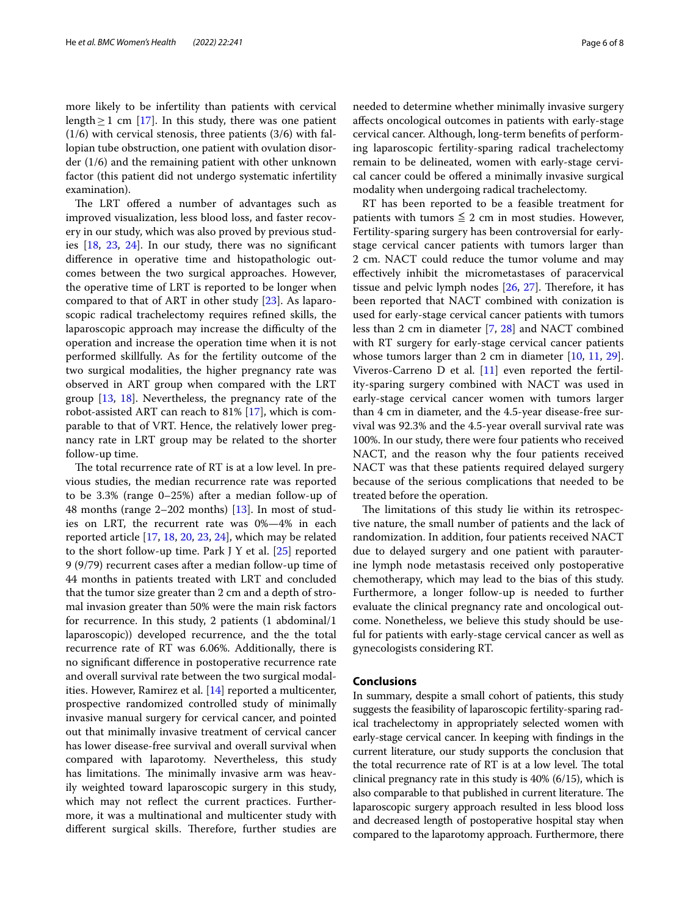more likely to be infertility than patients with cervical length  $\geq$  1 cm [[17\]](#page-6-16). In this study, there was one patient (1/6) with cervical stenosis, three patients (3/6) with fallopian tube obstruction, one patient with ovulation disorder (1/6) and the remaining patient with other unknown factor (this patient did not undergo systematic infertility examination).

The LRT offered a number of advantages such as improved visualization, less blood loss, and faster recovery in our study, which was also proved by previous studies [\[18](#page-6-17), [23,](#page-7-1) [24](#page-7-2)]. In our study, there was no signifcant diference in operative time and histopathologic outcomes between the two surgical approaches. However, the operative time of LRT is reported to be longer when compared to that of ART in other study [\[23\]](#page-7-1). As laparoscopic radical trachelectomy requires refned skills, the laparoscopic approach may increase the difficulty of the operation and increase the operation time when it is not performed skillfully. As for the fertility outcome of the two surgical modalities, the higher pregnancy rate was observed in ART group when compared with the LRT group [\[13,](#page-6-12) [18\]](#page-6-17). Nevertheless, the pregnancy rate of the robot-assisted ART can reach to 81% [[17\]](#page-6-16), which is comparable to that of VRT. Hence, the relatively lower pregnancy rate in LRT group may be related to the shorter follow-up time.

The total recurrence rate of RT is at a low level. In previous studies, the median recurrence rate was reported to be 3.3% (range 0–25%) after a median follow-up of 48 months (range  $2-202$  months) [\[13](#page-6-12)]. In most of studies on LRT, the recurrent rate was 0%—4% in each reported article [\[17](#page-6-16), [18,](#page-6-17) [20,](#page-6-19) [23](#page-7-1), [24](#page-7-2)], which may be related to the short follow-up time. Park J Y et al. [[25\]](#page-7-3) reported 9 (9/79) recurrent cases after a median follow-up time of 44 months in patients treated with LRT and concluded that the tumor size greater than 2 cm and a depth of stromal invasion greater than 50% were the main risk factors for recurrence. In this study, 2 patients (1 abdominal/1 laparoscopic)) developed recurrence, and the the total recurrence rate of RT was 6.06%. Additionally, there is no signifcant diference in postoperative recurrence rate and overall survival rate between the two surgical modalities. However, Ramirez et al. [\[14\]](#page-6-13) reported a multicenter, prospective randomized controlled study of minimally invasive manual surgery for cervical cancer, and pointed out that minimally invasive treatment of cervical cancer has lower disease-free survival and overall survival when compared with laparotomy. Nevertheless, this study has limitations. The minimally invasive arm was heavily weighted toward laparoscopic surgery in this study, which may not refect the current practices. Furthermore, it was a multinational and multicenter study with different surgical skills. Therefore, further studies are needed to determine whether minimally invasive surgery afects oncological outcomes in patients with early-stage cervical cancer. Although, long-term benefts of performing laparoscopic fertility-sparing radical trachelectomy remain to be delineated, women with early-stage cervical cancer could be ofered a minimally invasive surgical modality when undergoing radical trachelectomy.

RT has been reported to be a feasible treatment for patients with tumors  $\leq 2$  cm in most studies. However, Fertility-sparing surgery has been controversial for earlystage cervical cancer patients with tumors larger than 2 cm. NACT could reduce the tumor volume and may efectively inhibit the micrometastases of paracervical tissue and pelvic lymph nodes  $[26, 27]$  $[26, 27]$  $[26, 27]$  $[26, 27]$ . Therefore, it has been reported that NACT combined with conization is used for early-stage cervical cancer patients with tumors less than 2 cm in diameter [\[7,](#page-6-6) [28](#page-7-6)] and NACT combined with RT surgery for early-stage cervical cancer patients whose tumors larger than 2 cm in diameter [[10,](#page-6-9) [11,](#page-6-10) [29](#page-7-7)]. Viveros-Carreno D et al.  $[11]$  $[11]$  even reported the fertility-sparing surgery combined with NACT was used in early-stage cervical cancer women with tumors larger than 4 cm in diameter, and the 4.5-year disease-free survival was 92.3% and the 4.5-year overall survival rate was 100%. In our study, there were four patients who received NACT, and the reason why the four patients received NACT was that these patients required delayed surgery because of the serious complications that needed to be treated before the operation.

The limitations of this study lie within its retrospective nature, the small number of patients and the lack of randomization. In addition, four patients received NACT due to delayed surgery and one patient with parauterine lymph node metastasis received only postoperative chemotherapy, which may lead to the bias of this study. Furthermore, a longer follow-up is needed to further evaluate the clinical pregnancy rate and oncological outcome. Nonetheless, we believe this study should be useful for patients with early-stage cervical cancer as well as gynecologists considering RT.

# **Conclusions**

In summary, despite a small cohort of patients, this study suggests the feasibility of laparoscopic fertility-sparing radical trachelectomy in appropriately selected women with early-stage cervical cancer. In keeping with fndings in the current literature, our study supports the conclusion that the total recurrence rate of RT is at a low level. The total clinical pregnancy rate in this study is 40% (6/15), which is also comparable to that published in current literature. The laparoscopic surgery approach resulted in less blood loss and decreased length of postoperative hospital stay when compared to the laparotomy approach. Furthermore, there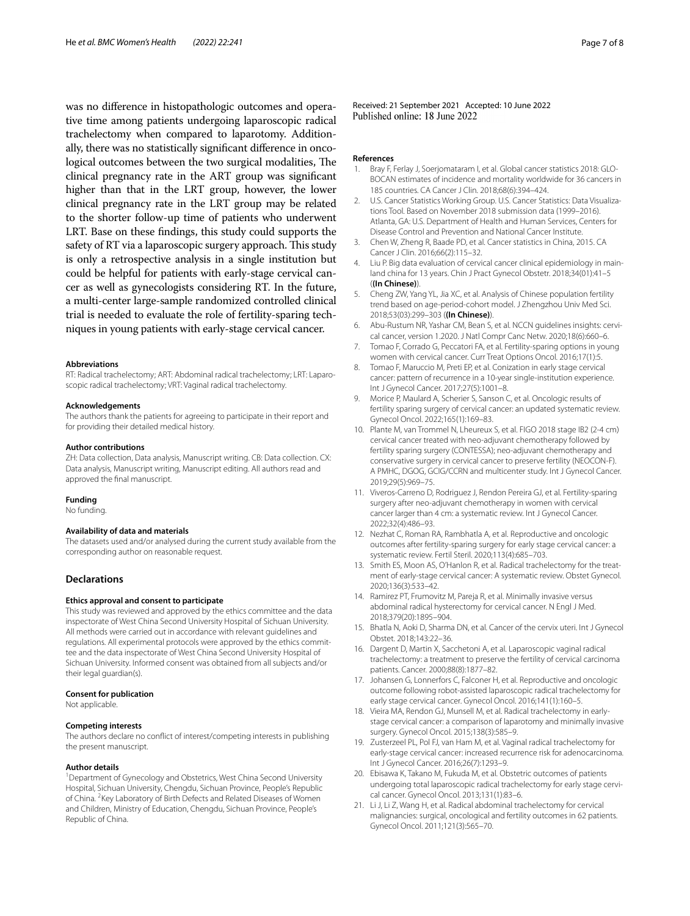was no diference in histopathologic outcomes and operative time among patients undergoing laparoscopic radical trachelectomy when compared to laparotomy. Additionally, there was no statistically signifcant diference in oncological outcomes between the two surgical modalities, The clinical pregnancy rate in the ART group was signifcant higher than that in the LRT group, however, the lower clinical pregnancy rate in the LRT group may be related to the shorter follow-up time of patients who underwent LRT. Base on these fndings, this study could supports the safety of RT via a laparoscopic surgery approach. This study is only a retrospective analysis in a single institution but could be helpful for patients with early-stage cervical cancer as well as gynecologists considering RT. In the future, a multi-center large-sample randomized controlled clinical trial is needed to evaluate the role of fertility-sparing techniques in young patients with early-stage cervical cancer.

#### **Abbreviations**

RT: Radical trachelectomy; ART: Abdominal radical trachelectomy; LRT: Laparoscopic radical trachelectomy; VRT: Vaginal radical trachelectomy.

#### **Acknowledgements**

The authors thank the patients for agreeing to participate in their report and for providing their detailed medical history.

#### **Author contributions**

ZH: Data collection, Data analysis, Manuscript writing. CB: Data collection. CX: Data analysis, Manuscript writing, Manuscript editing. All authors read and approved the fnal manuscript.

#### **Funding**

No funding.

#### **Availability of data and materials**

The datasets used and/or analysed during the current study available from the corresponding author on reasonable request.

#### **Declarations**

#### **Ethics approval and consent to participate**

This study was reviewed and approved by the ethics committee and the data inspectorate of West China Second University Hospital of Sichuan University. All methods were carried out in accordance with relevant guidelines and regulations. All experimental protocols were approved by the ethics committee and the data inspectorate of West China Second University Hospital of Sichuan University. Informed consent was obtained from all subjects and/or their legal guardian(s).

#### **Consent for publication**

Not applicable.

#### **Competing interests**

The authors declare no confict of interest/competing interests in publishing the present manuscript.

#### **Author details**

<sup>1</sup> Department of Gynecology and Obstetrics, West China Second University Hospital, Sichuan University, Chengdu, Sichuan Province, People's Republic of China. <sup>2</sup> Key Laboratory of Birth Defects and Related Diseases of Women and Children, Ministry of Education, Chengdu, Sichuan Province, People's Republic of China.

Received: 21 September 2021 Accepted: 10 June 2022<br>Published online: 18 June 2022

#### **References**

- <span id="page-6-0"></span>Bray F, Ferlay J, Soerjomataram I, et al. Global cancer statistics 2018: GLO-BOCAN estimates of incidence and mortality worldwide for 36 cancers in 185 countries. CA Cancer J Clin. 2018;68(6):394–424.
- <span id="page-6-1"></span>2. U.S. Cancer Statistics Working Group. U.S. Cancer Statistics: Data Visualizations Tool. Based on November 2018 submission data (1999–2016). Atlanta, GA: U.S. Department of Health and Human Services, Centers for Disease Control and Prevention and National Cancer Institute.
- <span id="page-6-2"></span>3. Chen W, Zheng R, Baade PD, et al. Cancer statistics in China, 2015. CA Cancer J Clin. 2016;66(2):115–32.
- <span id="page-6-3"></span>4. Liu P. Big data evaluation of cervical cancer clinical epidemiology in mainland china for 13 years. Chin J Pract Gynecol Obstetr. 2018;34(01):41–5 (**(In Chinese)**).
- <span id="page-6-4"></span>5. Cheng ZW, Yang YL, Jia XC, et al. Analysis of Chinese population fertility trend based on age-period-cohort model. J Zhengzhou Univ Med Sci. 2018;53(03):299–303 (**(In Chinese)**).
- <span id="page-6-5"></span>6. Abu-Rustum NR, Yashar CM, Bean S, et al. NCCN guidelines insights: cervical cancer, version 1.2020. J Natl Compr Canc Netw. 2020;18(6):660–6.
- <span id="page-6-6"></span>7. Tomao F, Corrado G, Peccatori FA, et al. Fertility-sparing options in young women with cervical cancer. Curr Treat Options Oncol. 2016;17(1):5.
- <span id="page-6-7"></span>8. Tomao F, Maruccio M, Preti EP, et al. Conization in early stage cervical cancer: pattern of recurrence in a 10-year single-institution experience. Int J Gynecol Cancer. 2017;27(5):1001–8.
- <span id="page-6-8"></span>9. Morice P, Maulard A, Scherier S, Sanson C, et al. Oncologic results of fertility sparing surgery of cervical cancer: an updated systematic review. Gynecol Oncol. 2022;165(1):169–83.
- <span id="page-6-9"></span>10. Plante M, van Trommel N, Lheureux S, et al. FIGO 2018 stage IB2 (2-4 cm) cervical cancer treated with neo-adjuvant chemotherapy followed by fertility sparing surgery (CONTESSA); neo-adjuvant chemotherapy and conservative surgery in cervical cancer to preserve fertility (NEOCON-F). A PMHC, DGOG, GCIG/CCRN and multicenter study. Int J Gynecol Cancer. 2019;29(5):969–75.
- <span id="page-6-10"></span>11. Viveros-Carreno D, Rodriguez J, Rendon Pereira GJ, et al. Fertility-sparing surgery after neo-adjuvant chemotherapy in women with cervical cancer larger than 4 cm: a systematic review. Int J Gynecol Cancer. 2022;32(4):486–93.
- <span id="page-6-11"></span>12. Nezhat C, Roman RA, Rambhatla A, et al. Reproductive and oncologic outcomes after fertility-sparing surgery for early stage cervical cancer: a systematic review. Fertil Steril. 2020;113(4):685–703.
- <span id="page-6-12"></span>13. Smith ES, Moon AS, O'Hanlon R, et al. Radical trachelectomy for the treatment of early-stage cervical cancer: A systematic review. Obstet Gynecol. 2020;136(3):533–42.
- <span id="page-6-13"></span>14. Ramirez PT, Frumovitz M, Pareja R, et al. Minimally invasive versus abdominal radical hysterectomy for cervical cancer. N Engl J Med. 2018;379(20):1895–904.
- <span id="page-6-14"></span>15. Bhatla N, Aoki D, Sharma DN, et al. Cancer of the cervix uteri. Int J Gynecol Obstet. 2018;143:22–36.
- <span id="page-6-15"></span>16. Dargent D, Martin X, Sacchetoni A, et al. Laparoscopic vaginal radical trachelectomy: a treatment to preserve the fertility of cervical carcinoma patients. Cancer. 2000;88(8):1877–82.
- <span id="page-6-16"></span>17. Johansen G, Lonnerfors C, Falconer H, et al. Reproductive and oncologic outcome following robot-assisted laparoscopic radical trachelectomy for early stage cervical cancer. Gynecol Oncol. 2016;141(1):160–5.
- <span id="page-6-17"></span>18. Vieira MA, Rendon GJ, Munsell M, et al. Radical trachelectomy in earlystage cervical cancer: a comparison of laparotomy and minimally invasive surgery. Gynecol Oncol. 2015;138(3):585–9.
- <span id="page-6-18"></span>19. Zusterzeel PL, Pol FJ, van Ham M, et al. Vaginal radical trachelectomy for early-stage cervical cancer: increased recurrence risk for adenocarcinoma. Int J Gynecol Cancer. 2016;26(7):1293–9.
- <span id="page-6-19"></span>20. Ebisawa K, Takano M, Fukuda M, et al. Obstetric outcomes of patients undergoing total laparoscopic radical trachelectomy for early stage cervical cancer. Gynecol Oncol. 2013;131(1):83–6.
- <span id="page-6-20"></span>21. Li J, Li Z, Wang H, et al. Radical abdominal trachelectomy for cervical malignancies: surgical, oncological and fertility outcomes in 62 patients. Gynecol Oncol. 2011;121(3):565–70.